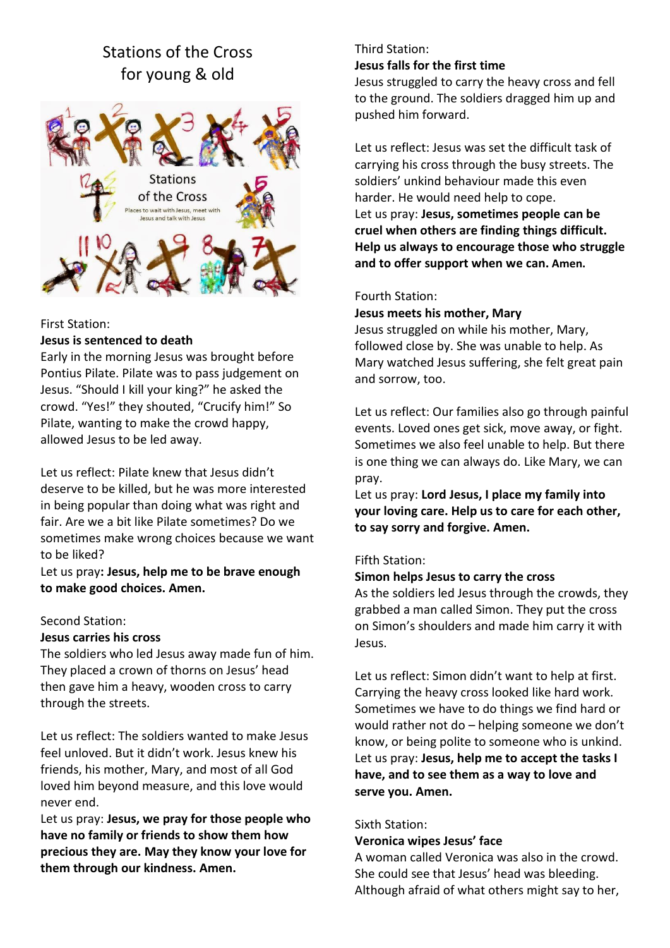# Stations of the Cross for young & old



## First Station:

## **Jesus is sentenced to death**

Early in the morning Jesus was brought before Pontius Pilate. Pilate was to pass judgement on Jesus. "Should I kill your king?" he asked the crowd. "Yes!" they shouted, "Crucify him!" So Pilate, wanting to make the crowd happy, allowed Jesus to be led away.

Let us reflect: Pilate knew that Jesus didn't deserve to be killed, but he was more interested in being popular than doing what was right and fair. Are we a bit like Pilate sometimes? Do we sometimes make wrong choices because we want to be liked?

Let us pray**: Jesus, help me to be brave enough to make good choices. Amen.**

## Second Station:

## **Jesus carries his cross**

The soldiers who led Jesus away made fun of him. They placed a crown of thorns on Jesus' head then gave him a heavy, wooden cross to carry through the streets.

Let us reflect: The soldiers wanted to make Jesus feel unloved. But it didn't work. Jesus knew his friends, his mother, Mary, and most of all God loved him beyond measure, and this love would never end.

Let us pray: **Jesus, we pray for those people who have no family or friends to show them how precious they are. May they know your love for them through our kindness. Amen.**

# Third Station: **Jesus falls for the first time**

Jesus struggled to carry the heavy cross and fell to the ground. The soldiers dragged him up and pushed him forward.

Let us reflect: Jesus was set the difficult task of carrying his cross through the busy streets. The soldiers' unkind behaviour made this even harder. He would need help to cope. Let us pray: **Jesus, sometimes people can be cruel when others are finding things difficult. Help us always to encourage those who struggle and to offer support when we can. Amen.**

# Fourth Station:

**Jesus meets his mother, Mary** Jesus struggled on while his mother, Mary, followed close by. She was unable to help. As Mary watched Jesus suffering, she felt great pain and sorrow, too.

Let us reflect: Our families also go through painful events. Loved ones get sick, move away, or fight. Sometimes we also feel unable to help. But there is one thing we can always do. Like Mary, we can pray.

Let us pray: **Lord Jesus, I place my family into your loving care. Help us to care for each other, to say sorry and forgive. Amen.**

# Fifth Station:

## **Simon helps Jesus to carry the cross**

As the soldiers led Jesus through the crowds, they grabbed a man called Simon. They put the cross on Simon's shoulders and made him carry it with Jesus.

Let us reflect: Simon didn't want to help at first. Carrying the heavy cross looked like hard work. Sometimes we have to do things we find hard or would rather not do – helping someone we don't know, or being polite to someone who is unkind. Let us pray: **Jesus, help me to accept the tasks I have, and to see them as a way to love and serve you. Amen.**

# Sixth Station:

# **Veronica wipes Jesus' face**

A woman called Veronica was also in the crowd. She could see that Jesus' head was bleeding. Although afraid of what others might say to her,